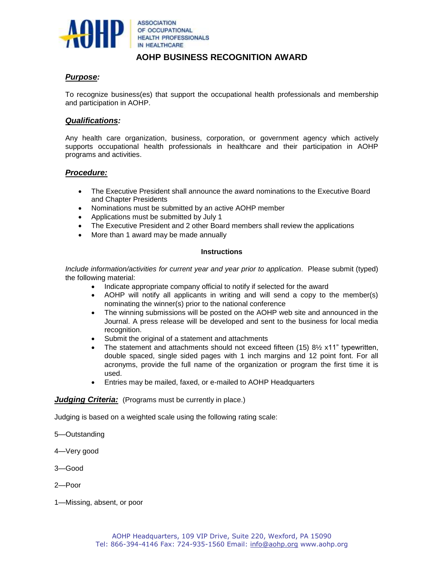

**ASSOCIATION** OF OCCUPATIONAL **HEALTH PROFESSIONALS** IN HEALTHCARE

# **AOHP BUSINESS RECOGNITION AWARD**

# *Purpose:*

To recognize business(es) that support the occupational health professionals and membership and participation in AOHP.

## *Qualifications:*

Any health care organization, business, corporation, or government agency which actively supports occupational health professionals in healthcare and their participation in AOHP programs and activities.

### *Procedure:*

- The Executive President shall announce the award nominations to the Executive Board and Chapter Presidents
- Nominations must be submitted by an active AOHP member
- Applications must be submitted by July 1
- The Executive President and 2 other Board members shall review the applications
- More than 1 award may be made annually

#### **Instructions**

*Include information/activities for current year and year prior to application*. Please submit (typed) the following material:

- Indicate appropriate company official to notify if selected for the award
- AOHP will notify all applicants in writing and will send a copy to the member(s) nominating the winner(s) prior to the national conference
- The winning submissions will be posted on the AOHP web site and announced in the Journal. A press release will be developed and sent to the business for local media recognition.
- Submit the original of a statement and attachments
- The statement and attachments should not exceed fifteen  $(15)$  8 $\frac{1}{2}$  x11" typewritten, double spaced, single sided pages with 1 inch margins and 12 point font. For all acronyms, provide the full name of the organization or program the first time it is used.
- Entries may be mailed, faxed, or e-mailed to AOHP Headquarters

### *Judging Criteria:* (Programs must be currently in place.)

Judging is based on a weighted scale using the following rating scale:

- 5—Outstanding
- 4—Very good
- 3—Good
- 2—Poor
- 1—Missing, absent, or poor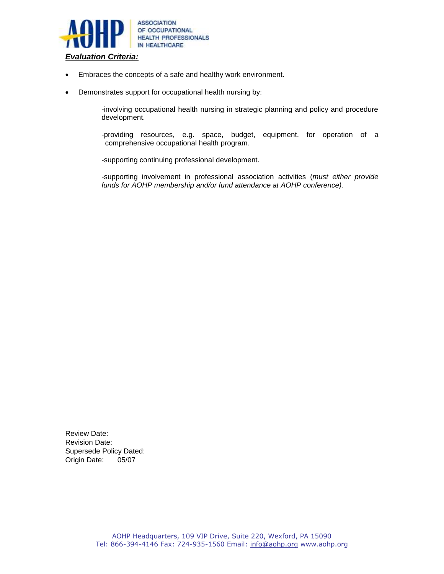

- Embraces the concepts of a safe and healthy work environment.
- Demonstrates support for occupational health nursing by:

-involving occupational health nursing in strategic planning and policy and procedure development.

-providing resources, e.g. space, budget, equipment, for operation of a comprehensive occupational health program.

-supporting continuing professional development.

-supporting involvement in professional association activities (*must either provide funds for AOHP membership and/or fund attendance at AOHP conference).*

Review Date: Revision Date: Supersede Policy Dated: Origin Date: 05/07